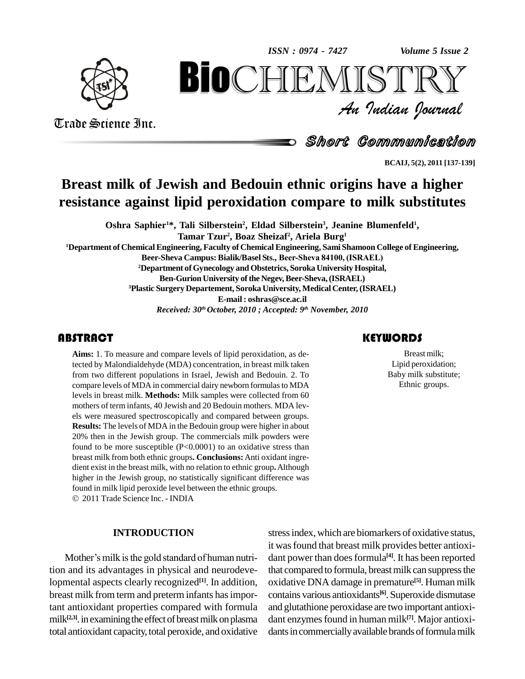*Volume 5 Issue 2*



*Volume 5 Issue 2*<br> $\begin{array}{c} \text{Volume 5 I} \\ \text{S} \text{I} \text{R} \text{R} \text{V} \end{array}$ **BIOCHEMISTRY**<br>An Indian Journal<br>Short Communication<br> $\sum_{\text{BCAU}, \text{S(2), 2011[137-139]}}$ <br>ish and Bedouin ethnic origins have a higher<br>ipid peroxidation compare to milk substitutes

Short Communication

**BCAIJ, 5(2), 2011 [137-139]**

# **Breast milk of Jewish and Bedouin ethnic origins have a higher resistance against lipid peroxidation compare to milk substitutes**

**Oshra Saphier <sup>1</sup>\*, Tali Silberstein 2 , Eldad Silberstein 3 , Jeanine Blumenfeld 1 , Tamar Tzur 2 , Boaz Sheizaf 2 , Ariela Burg 1 <sup>1</sup>Department of Chemical Engineering, Faculty of Chemical Engineering, Sami Shamoon College of Engineering, Beer-Sheva Campus: Bialik/Basel Sts., Beer-Sheva 84100, (ISRAEL) <sup>2</sup>Department ofGynecology andObstetrics, Soroka University Hospital, Ben-Gurion University of the Negev, Beer-Sheva, (ISRAEL) <sup>3</sup>Plastic Surgery Departement, Soroka University, MedicalCenter,(ISRAEL) E-mail : [oshras@sce.ac.il](mailto:oshras@sce.ac.il)** *Received: 30 th October, 2010 ; Accepted: 9 th November, 2010*

## **ABSTRACT**

**Aims:** 1. To measure and<br>tected by Malondialdehyd<br>from two different popul **Aims:** 1. To measure and compare levels of lipid peroxidation, as detected by Malondialdehyde (MDA) concentration, in breast milk taken from two different populations in Israel, Jewish and Bedouin. 2. To compare levels of MDA in commercial dairy newborn formulasto MDA levels in breast milk. **Methods:** Milk samples were collected from 60 mothers of term infants, 40 Jewish and 20 Bedouin mothers. MDA levels were measured spectroscopically and compared between groups. **Results:** The levels of MDA in the Bedouin group were higher in about 20% then in the Jewish group. The commercials milk powders were found to be more susceptible  $(P<0.0001)$  to an oxidative stress than breast milk from bothethnic groups**. Conclusions:** Anti oxidant ingre dient exist in the breast milk, with no relation to ethnic group**.**Although higher in the Jewish group, no statistically significant difference was found in milk lipid peroxide level between the ethnic groups.

2011 Trade Science Inc. - INDIA

### **INTRODUCTION**

Mother's milk is the gold standard of human nutrition and its advantages in physical and neurodevelopmental aspects clearly recognized **[1]**. In addition, breast milk from term and preterm infants has important antioxidant properties compared with formula milk<sup>[2,3]</sup>. in examining the effect of breast milk on plasma dant e total antioxidant capacity, total peroxide, and oxidative

## stressindex,which are biomarkers of oxidative status, it was found that breast milk provides better antioxidant power than does formula<sup>[4]</sup>. It has been reported that compared to formula, breast milk can suppress the oxidative DNA damage in premature **[5]**. Human milk contains various antioxidants **[6]**. Superoxide dismutase and glutathione peroxidase are two important antioxi dant enzymes found in human milk<sup>[7]</sup>. Major antioxidants in commercially available brands of formula milk

### **KEYWORDS**

Breast milk;<br>Lipid peroxidation;<br>Baby milk substitute; Breast milk; Lipid peroxidation; Ethnic groups.

Trade Science Inc. Trade Science Inc.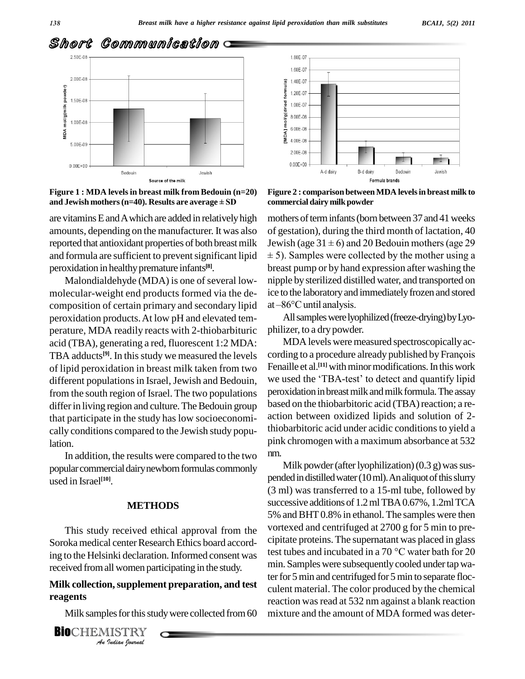



**Figure 1 : MDA levelsin breast milk from Bedouin (n=20)** Source of the milk<br>**Figure 1 : MDA levels in breast milk from Bedouin** (i<br>and Jewish mothers (n=40). Results are average ± SD

are vitamins E and A which are added in relatively high amounts, depending on the manufacturer. It was also reported that antioxidant properties of both breast milk Jewish (age  $31 \pm 6$ ) and 20 Bedouin mothers (age 29 and formula are sufficient to prevent significant lipid  $\pm$  5). Samples were collected by the mother using a peroxidation in healthypremature infants **[8]**.

Malondialdehyde (MDA) is one of several lowmolecular-weight end products formed via the de composition of certain primary and secondary lipid at -86°C until analysis. peroxidation products. At low pH and elevated temperature, MDA readily reacts with 2-thiobarbituric acid (TBA), generating a red, fluorescent 1:2 MDA: TBA adducts<sup>[9]</sup>. In this study we measured the levels cord of lipid peroxidation in breast milk taken from two<br>different populations in Israel. Jewish and Bedouin we used the 'TBA-test' to detect and quantify lipid different populations in Israel, Jewish and Bedouin, from the south region of Israel. The two populations differ in living region and culture. The Bedouin group that participate in the study has low socioeconomi cally conditions compared to the Jewish study population.

In addition, the results were compared to the two nm. popular commercial dairy newborn formulas commonly used in Israel **[10]**.

### **METHODS**

*An*received fromall women participating in the study. This study received ethical approval from the Soroka medical center Research Ethics board accord-

# *III women par*<br>*In, suppleme<br>les for this stu<br>IISTRY* **Milk collection,supplement preparation, and test reagents**

Milk samples for this study were collected from 60

**BIO**CHEMISTRY

**Figure 2 : comparison betweenMDA levelsin breast milk to commercial dairy milk powder** 

mothers of term infants (born between 37 and 41 weeks of gestation), during the third month of lactation, 40 mothers of term infants (born between 37 and 41 weeks<br>of gestation), during the third month of lactation, 40<br>Jewish (age  $31 \pm 6$ ) and 20 Bedouin mothers (age 29 % of gestation), during the third month of lactation, 40<br>Jewish (age  $31 \pm 6$ ) and 20 Bedouin mothers (age 29<br> $\pm$  5). Samples were collected by the mother using a breast pump or by hand expression after washing the nipple by sterilized distilled water, and transported on<br>ice to the laboratory and immediately frozen and stored<br>at –86°C until analysis. ice to the laboratory and immediately frozen and stored

All samples were lyophilized (freeze-drying) by Lyophilizer, to a dry powder.

MDA levels were measured spectroscopically according to a procedure already published by François Fenaille et al.<sup>[11]</sup> with minor modifications. In this work cording to a procedure already published by François<br>Fenaille et al.<sup>[11]</sup> with minor modifications. In this work<br>we used the 'TBA-test' to detect and quantify lipid peroxidation in breast milk and milk formula. The assay based on the thiobarbitoric acid (TBA) reaction; a reaction between oxidized lipids and solution of 2thiobarbitoric acid under acidic conditions to yield a pink chromogen with a maximum absorbance at 532

ing to the Helsinki declaration. Informed consent was test tubes and incubated in a 70  $^{\circ}$ C water bath for 20 Milk powder (after lyophilization)  $(0.3 g)$  was suspended in distilled water  $(10 \text{ ml})$ . An aliquot of this slurry (3 ml) was transferred to a 15-ml tube, followed by successive additions of 1.2 ml TBA 0.67%, 1.2ml TCA 5% andBHT0.8% in ethanol. The samples were then vortexed and centrifuged at 2700 g for 5 min to pre-<br>cipitate proteins. The supernatant was placed in glass<br>test tubes and incubated in a 70  $^{\circ}$ C water bath for 20 cipitate proteins.The supernatant was placed in glass min. Samples were subsequently cooled under tap water for 5 min and centrifuged for 5 min to separate flocculent material. The color produced by the chemical reaction was read at 532 nm against a blank reaction mixture and the amount of MDA formed was deter